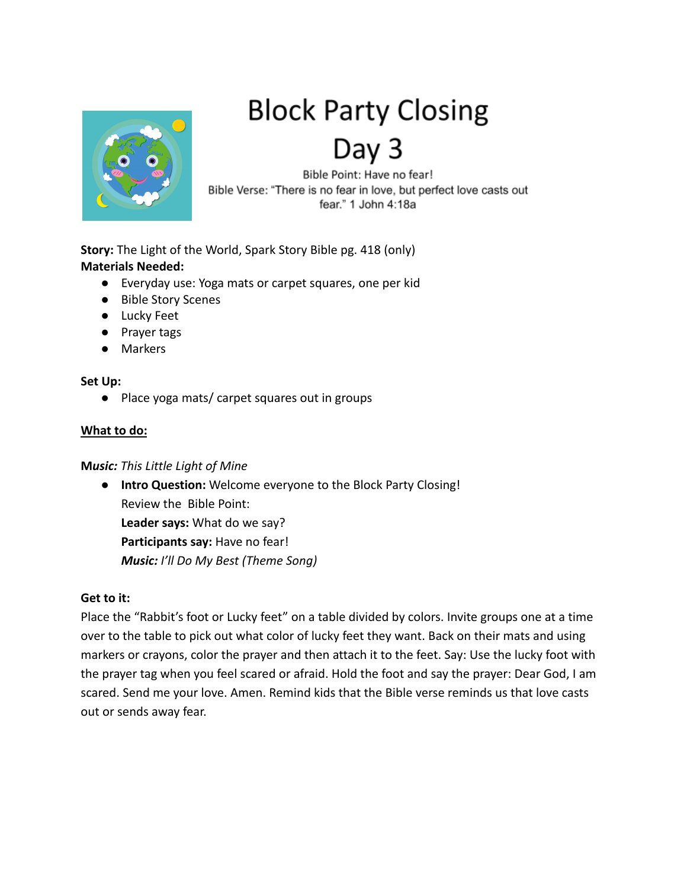

# **Block Party Closing**

Day 3

Bible Point: Have no fear! Bible Verse: "There is no fear in love, but perfect love casts out fear." 1 John 4:18a

**Story:** The Light of the World, Spark Story Bible pg. 418 (only) **Materials Needed:**

- Everyday use: Yoga mats or carpet squares, one per kid
- Bible Story Scenes
- Lucky Feet
- Prayer tags
- Markers

#### **Set Up:**

● Place yoga mats/ carpet squares out in groups

## **What to do:**

#### **M***usic: This Little Light of Mine*

● **Intro Question:** Welcome everyone to the Block Party Closing! Review the Bible Point: **Leader says:** What do we say? **Participants say:** Have no fear! *Music: I'll Do My Best (Theme Song)*

## **Get to it:**

Place the "Rabbit's foot or Lucky feet" on a table divided by colors. Invite groups one at a time over to the table to pick out what color of lucky feet they want. Back on their mats and using markers or crayons, color the prayer and then attach it to the feet. Say: Use the lucky foot with the prayer tag when you feel scared or afraid. Hold the foot and say the prayer: Dear God, I am scared. Send me your love. Amen. Remind kids that the Bible verse reminds us that love casts out or sends away fear.